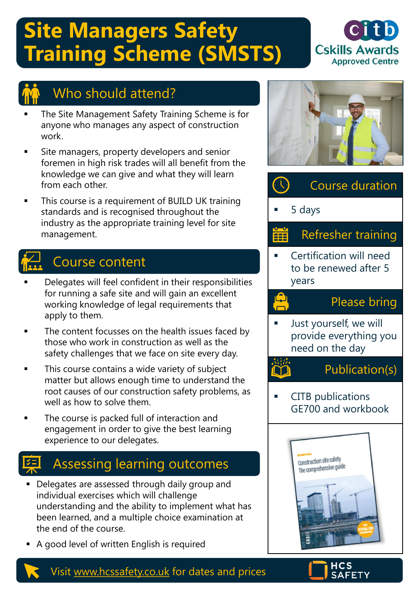# **Site Managers Safety Training Scheme (SMSTS)**





## Who should attend?

- The Site Management Safety Training Scheme is for anyone who manages any aspect of construction work.
- Site managers, property developers and senior foremen in high risk trades will all benefit from the knowledge we can give and what they will learn from each other.
- This course is a requirement of BUILD UK training standards and is recognised throughout the industry as the appropriate training level for site management.

## Course content

- Delegates will feel confident in their responsibilities for running a safe site and will gain an excellent working knowledge of legal requirements that apply to them.
- The content focusses on the health issues faced by those who work in construction as well as the safety challenges that we face on site every day.
- This course contains a wide variety of subject matter but allows enough time to understand the root causes of our construction safety problems, as well as how to solve them.
- The course is packed full of interaction and engagement in order to give the best learning experience to our delegates.

## Assessing learning outcomes

- Delegates are assessed through daily group and individual exercises which will challenge understanding and the ability to implement what has been learned, and a multiple choice examination at the end of the course.
- A good level of written English is required









Visit [www.hcssafety.co.uk](http://www.hcssafety.co.uk/) for dates and prices